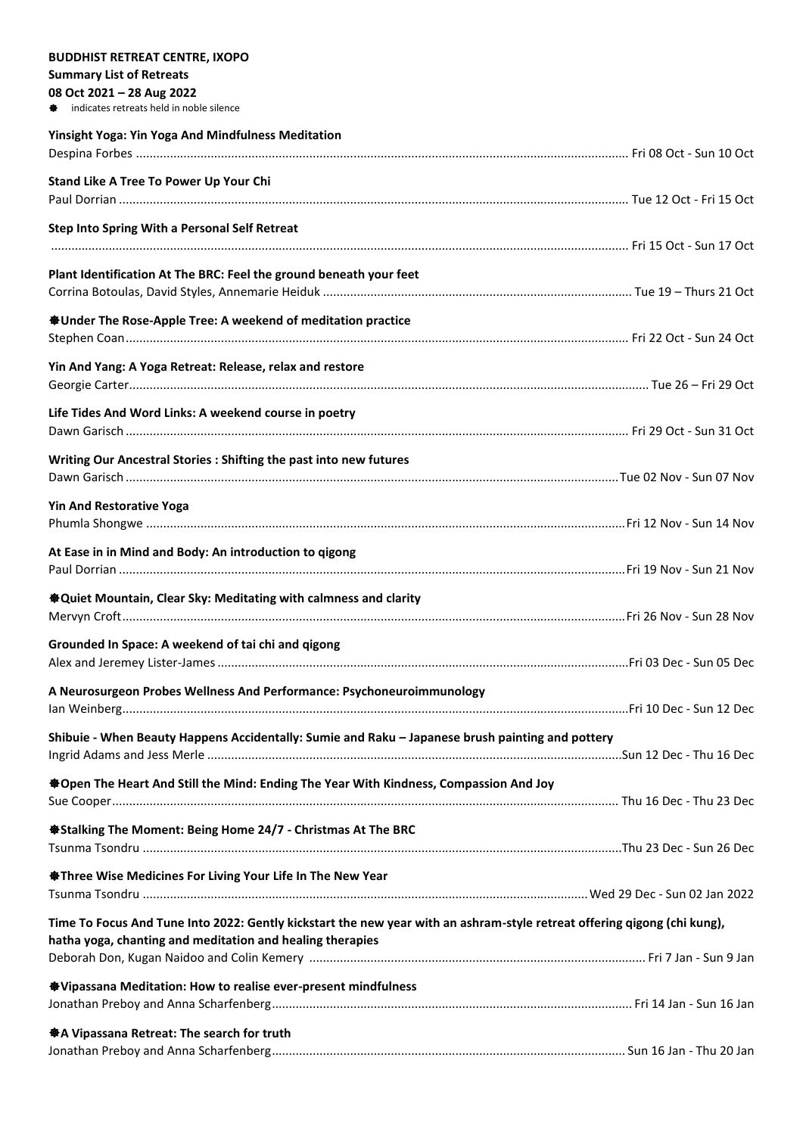## **BUDDHIST RETREAT CENTRE, IXOPO**

## **Summary List of Retreats**

## **08 Oct 2021 – 28 Aug 2022**

indicates retreats held in noble silence

| <b>Yinsight Yoga: Yin Yoga And Mindfulness Meditation</b>                                                                                                                             |  |
|---------------------------------------------------------------------------------------------------------------------------------------------------------------------------------------|--|
| Stand Like A Tree To Power Up Your Chi                                                                                                                                                |  |
|                                                                                                                                                                                       |  |
| Step Into Spring With a Personal Self Retreat                                                                                                                                         |  |
| Plant Identification At The BRC: Feel the ground beneath your feet                                                                                                                    |  |
|                                                                                                                                                                                       |  |
| <b><math>\clubsuit</math></b> Under The Rose-Apple Tree: A weekend of meditation practice                                                                                             |  |
| Yin And Yang: A Yoga Retreat: Release, relax and restore                                                                                                                              |  |
| Life Tides And Word Links: A weekend course in poetry                                                                                                                                 |  |
|                                                                                                                                                                                       |  |
| Writing Our Ancestral Stories : Shifting the past into new futures                                                                                                                    |  |
| <b>Yin And Restorative Yoga</b>                                                                                                                                                       |  |
|                                                                                                                                                                                       |  |
| At Ease in in Mind and Body: An introduction to gigong                                                                                                                                |  |
|                                                                                                                                                                                       |  |
| <b><math>\bigcirc</math></b> Quiet Mountain, Clear Sky: Meditating with calmness and clarity                                                                                          |  |
| Grounded In Space: A weekend of tai chi and qigong                                                                                                                                    |  |
|                                                                                                                                                                                       |  |
| A Neurosurgeon Probes Wellness And Performance: Psychoneuroimmunology                                                                                                                 |  |
| Shibuie - When Beauty Happens Accidentally: Sumie and Raku - Japanese brush painting and pottery                                                                                      |  |
| <b>*Open The Heart And Still the Mind: Ending The Year With Kindness, Compassion And Joy</b>                                                                                          |  |
|                                                                                                                                                                                       |  |
| <b>Stalking The Moment: Being Home 24/7 - Christmas At The BRC</b>                                                                                                                    |  |
| <b>Stationary Three Wise Medicines For Living Your Life In The New Year</b>                                                                                                           |  |
|                                                                                                                                                                                       |  |
| Time To Focus And Tune Into 2022: Gently kickstart the new year with an ashram-style retreat offering qigong (chi kung),<br>hatha yoga, chanting and meditation and healing therapies |  |
|                                                                                                                                                                                       |  |
| <b>Whipassana Meditation: How to realise ever-present mindfulness</b>                                                                                                                 |  |
| ※ A Vipassana Retreat: The search for truth                                                                                                                                           |  |
|                                                                                                                                                                                       |  |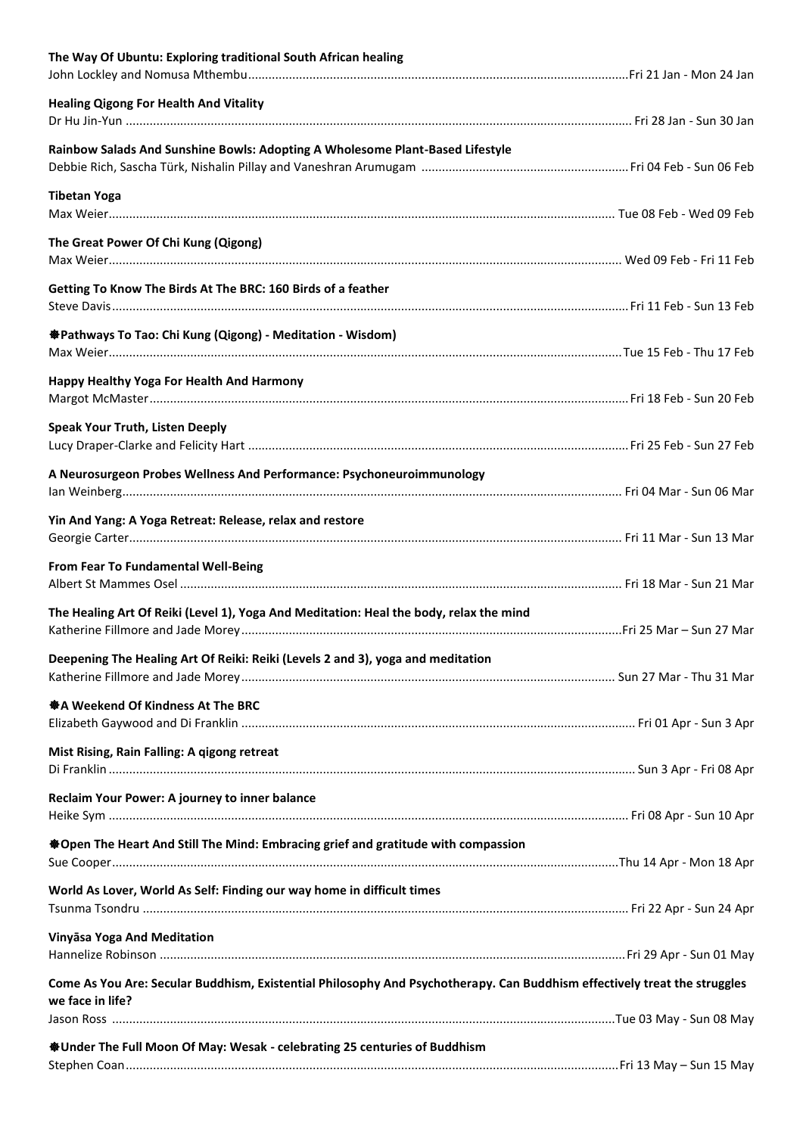| The Way Of Ubuntu: Exploring traditional South African healing                                                            |  |
|---------------------------------------------------------------------------------------------------------------------------|--|
| <b>Healing Qigong For Health And Vitality</b>                                                                             |  |
| Rainbow Salads And Sunshine Bowls: Adopting A Wholesome Plant-Based Lifestyle                                             |  |
|                                                                                                                           |  |
| <b>Tibetan Yoga</b>                                                                                                       |  |
| The Great Power Of Chi Kung (Qigong)                                                                                      |  |
|                                                                                                                           |  |
| Getting To Know The Birds At The BRC: 160 Birds of a feather                                                              |  |
| <b>※Pathways To Tao: Chi Kung (Qigong) - Meditation - Wisdom)</b>                                                         |  |
| Happy Healthy Yoga For Health And Harmony                                                                                 |  |
|                                                                                                                           |  |
| <b>Speak Your Truth, Listen Deeply</b>                                                                                    |  |
| A Neurosurgeon Probes Wellness And Performance: Psychoneuroimmunology                                                     |  |
| Yin And Yang: A Yoga Retreat: Release, relax and restore                                                                  |  |
| From Fear To Fundamental Well-Being                                                                                       |  |
| The Healing Art Of Reiki (Level 1), Yoga And Meditation: Heal the body, relax the mind                                    |  |
| Deepening The Healing Art Of Reiki: Reiki (Levels 2 and 3), yoga and meditation                                           |  |
| ※ A Weekend Of Kindness At The BRC                                                                                        |  |
|                                                                                                                           |  |
| Mist Rising, Rain Falling: A qigong retreat                                                                               |  |
| Reclaim Your Power: A journey to inner balance                                                                            |  |
| ※Open The Heart And Still The Mind: Embracing grief and gratitude with compassion                                         |  |
| World As Lover, World As Self: Finding our way home in difficult times                                                    |  |
| Vinyāsa Yoga And Meditation                                                                                               |  |
| Come As You Are: Secular Buddhism, Existential Philosophy And Psychotherapy. Can Buddhism effectively treat the struggles |  |
| we face in life?                                                                                                          |  |
| <b>SUnder The Full Moon Of May: Wesak - celebrating 25 centuries of Buddhism</b>                                          |  |
|                                                                                                                           |  |